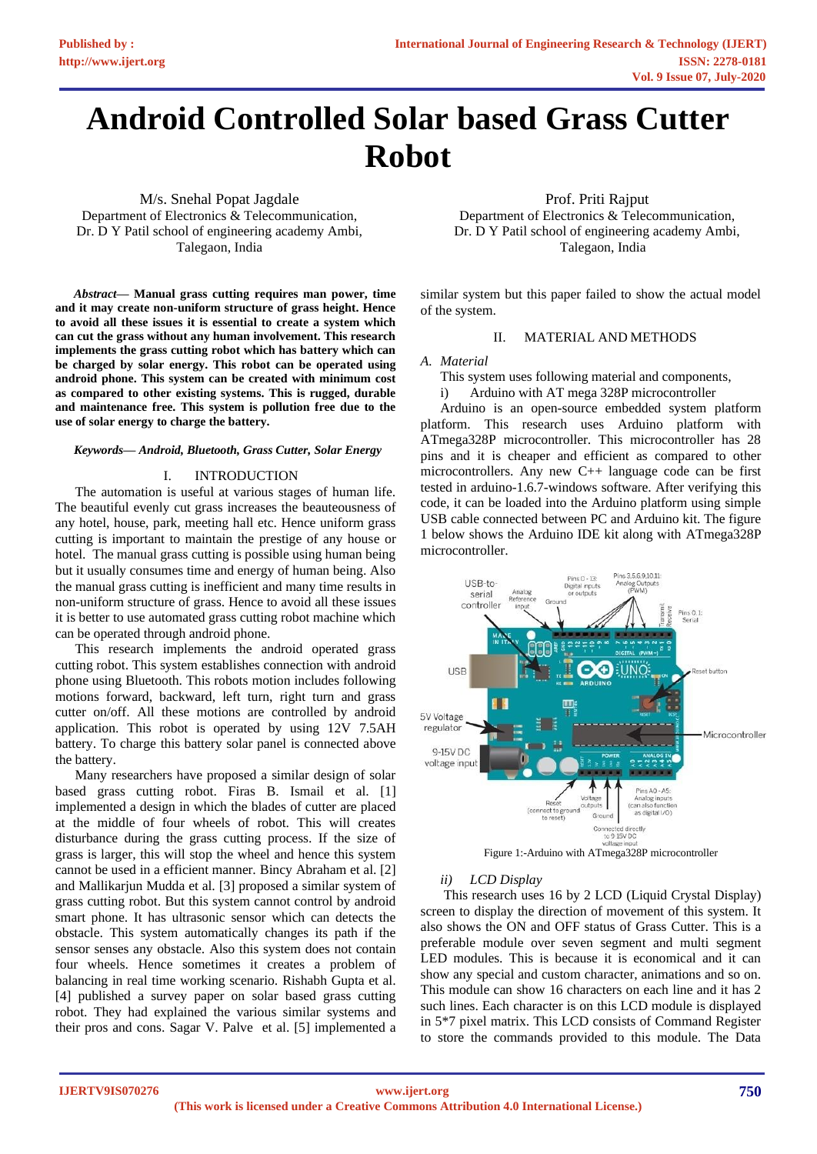# **Android Controlled Solar based Grass Cutter Robot**

M/s. Snehal Popat Jagdale Department of Electronics & Telecommunication, Dr. D Y Patil school of engineering academy Ambi, Talegaon, India

*Abstract***— Manual grass cutting requires man power, time and it may create non-uniform structure of grass height. Hence to avoid all these issues it is essential to create a system which can cut the grass without any human involvement. This research implements the grass cutting robot which has battery which can be charged by solar energy. This robot can be operated using android phone. This system can be created with minimum cost as compared to other existing systems. This is rugged, durable and maintenance free. This system is pollution free due to the use of solar energy to charge the battery.** 

#### *Keywords— Android, Bluetooth, Grass Cutter, Solar Energy*

## I. INTRODUCTION

The automation is useful at various stages of human life. The beautiful evenly cut grass increases the beauteousness of any hotel, house, park, meeting hall etc. Hence uniform grass cutting is important to maintain the prestige of any house or hotel. The manual grass cutting is possible using human being but it usually consumes time and energy of human being. Also the manual grass cutting is inefficient and many time results in non-uniform structure of grass. Hence to avoid all these issues it is better to use automated grass cutting robot machine which can be operated through android phone.

This research implements the android operated grass cutting robot. This system establishes connection with android phone using Bluetooth. This robots motion includes following motions forward, backward, left turn, right turn and grass cutter on/off. All these motions are controlled by android application. This robot is operated by using 12V 7.5AH battery. To charge this battery solar panel is connected above the battery.

Many researchers have proposed a similar design of solar based grass cutting robot. Firas B. Ismail et al. [1] implemented a design in which the blades of cutter are placed at the middle of four wheels of robot. This will creates disturbance during the grass cutting process. If the size of grass is larger, this will stop the wheel and hence this system cannot be used in a efficient manner. Bincy Abraham et al. [2] and Mallikarjun Mudda et al. [3] proposed a similar system of grass cutting robot. But this system cannot control by android smart phone. It has ultrasonic sensor which can detects the obstacle. This system automatically changes its path if the sensor senses any obstacle. Also this system does not contain four wheels. Hence sometimes it creates a problem of balancing in real time working scenario. Rishabh Gupta et al. [4] published a survey paper on solar based grass cutting robot. They had explained the various similar systems and their pros and cons. Sagar V. Palve et al. [5] implemented a

Prof. Priti Rajput Department of Electronics & Telecommunication, Dr. D Y Patil school of engineering academy Ambi, Talegaon, India

similar system but this paper failed to show the actual model of the system.

# II. MATERIAL AND METHODS

#### *A. Material*

This system uses following material and components,

i) Arduino with AT mega 328P microcontroller

Arduino is an open-source embedded system platform platform. This research uses Arduino platform with ATmega328P microcontroller. This microcontroller has 28 pins and it is cheaper and efficient as compared to other microcontrollers. Any new C++ language code can be first tested in arduino-1.6.7-windows software. After verifying this code, it can be loaded into the Arduino platform using simple USB cable connected between PC and Arduino kit. The figure 1 below shows the Arduino IDE kit along with ATmega328P microcontroller.



#### *ii) LCD Display*

This research uses 16 by 2 LCD (Liquid Crystal Display) screen to display the direction of movement of this system. It also shows the ON and OFF status of Grass Cutter. This is a preferable module over seven segment and multi segment LED modules. This is because it is economical and it can show any special and custom character, animations and so on. This module can show 16 characters on each line and it has 2 such lines. Each character is on this LCD module is displayed in 5\*7 pixel matrix. This LCD consists of Command Register to store the commands provided to this module. The Data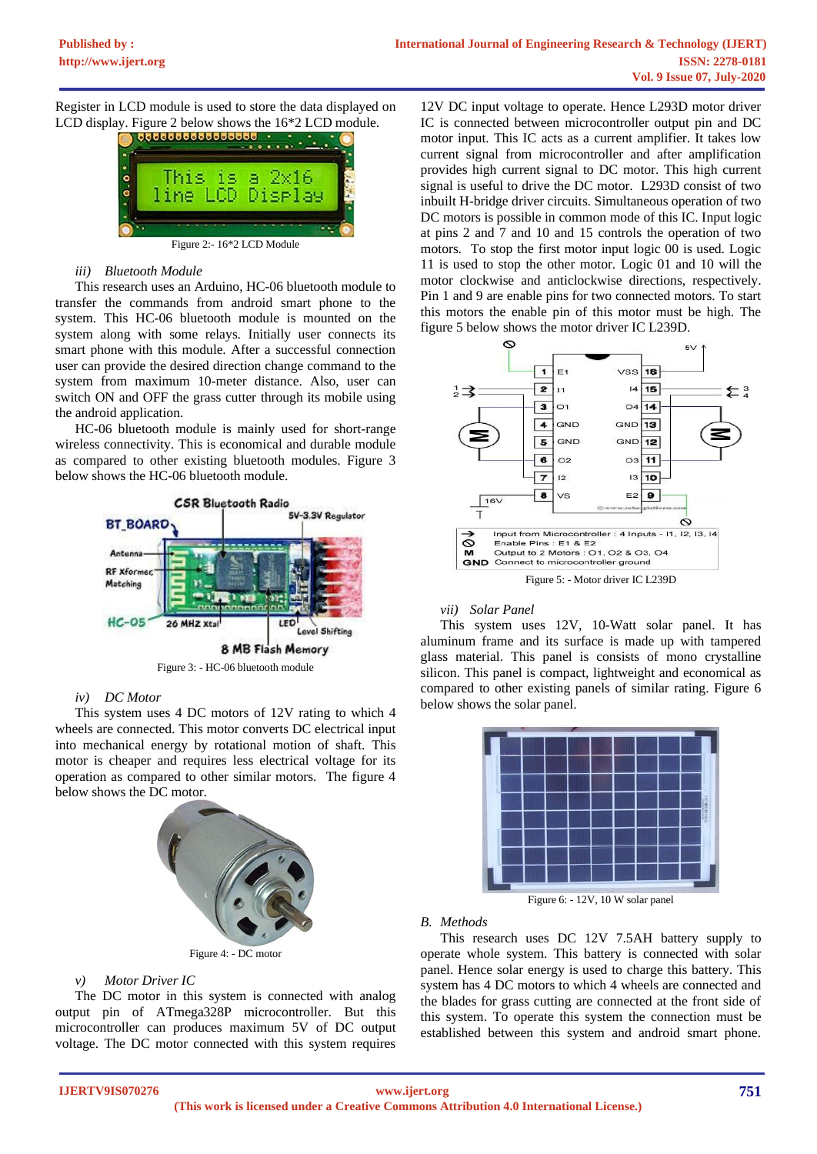Register in LCD module is used to store the data displayed on



Figure 2:- 16\*2 LCD Module

# *iii) Bluetooth Module*

This research uses an Arduino, HC-06 bluetooth module to transfer the commands from android smart phone to the system. This HC-06 bluetooth module is mounted on the system along with some relays. Initially user connects its smart phone with this module. After a successful connection user can provide the desired direction change command to the system from maximum 10-meter distance. Also, user can switch ON and OFF the grass cutter through its mobile using the android application.

HC-06 bluetooth module is mainly used for short-range wireless connectivity. This is economical and durable module as compared to other existing bluetooth modules. Figure 3 below shows the HC-06 bluetooth module.



# *iv) DC Motor*

This system uses 4 DC motors of 12V rating to which 4 wheels are connected. This motor converts DC electrical input into mechanical energy by rotational motion of shaft. This motor is cheaper and requires less electrical voltage for its operation as compared to other similar motors. The figure 4 below shows the DC motor.



Figure 4: - DC motor

# *v) Motor Driver IC*

The DC motor in this system is connected with analog output pin of ATmega328P microcontroller. But this microcontroller can produces maximum 5V of DC output voltage. The DC motor connected with this system requires

12V DC input voltage to operate. Hence L293D motor driver IC is connected between microcontroller output pin and DC motor input. This IC acts as a current amplifier. It takes low current signal from microcontroller and after amplification provides high current signal to DC motor. This high current signal is useful to drive the DC motor. L293D consist of two inbuilt H-bridge driver circuits. Simultaneous operation of two DC motors is possible in common mode of this IC. Input logic at pins 2 and 7 and 10 and 15 controls the operation of two motors. To stop the first motor input logic 00 is used. Logic 11 is used to stop the other motor. Logic 01 and 10 will the motor clockwise and anticlockwise directions, respectively. Pin 1 and 9 are enable pins for two connected motors. To start this motors the enable pin of this motor must be high. The figure 5 below shows the motor driver IC L239D.



Figure 5: - Motor driver IC L239D

## *vii) Solar Panel*

This system uses 12V, 10-Watt solar panel. It has aluminum frame and its surface is made up with tampered glass material. This panel is consists of mono crystalline silicon. This panel is compact, lightweight and economical as compared to other existing panels of similar rating. Figure 6 below shows the solar panel.



# *B. Methods*

This research uses DC 12V 7.5AH battery supply to operate whole system. This battery is connected with solar panel. Hence solar energy is used to charge this battery. This system has 4 DC motors to which 4 wheels are connected and the blades for grass cutting are connected at the front side of this system. To operate this system the connection must be established between this system and android smart phone.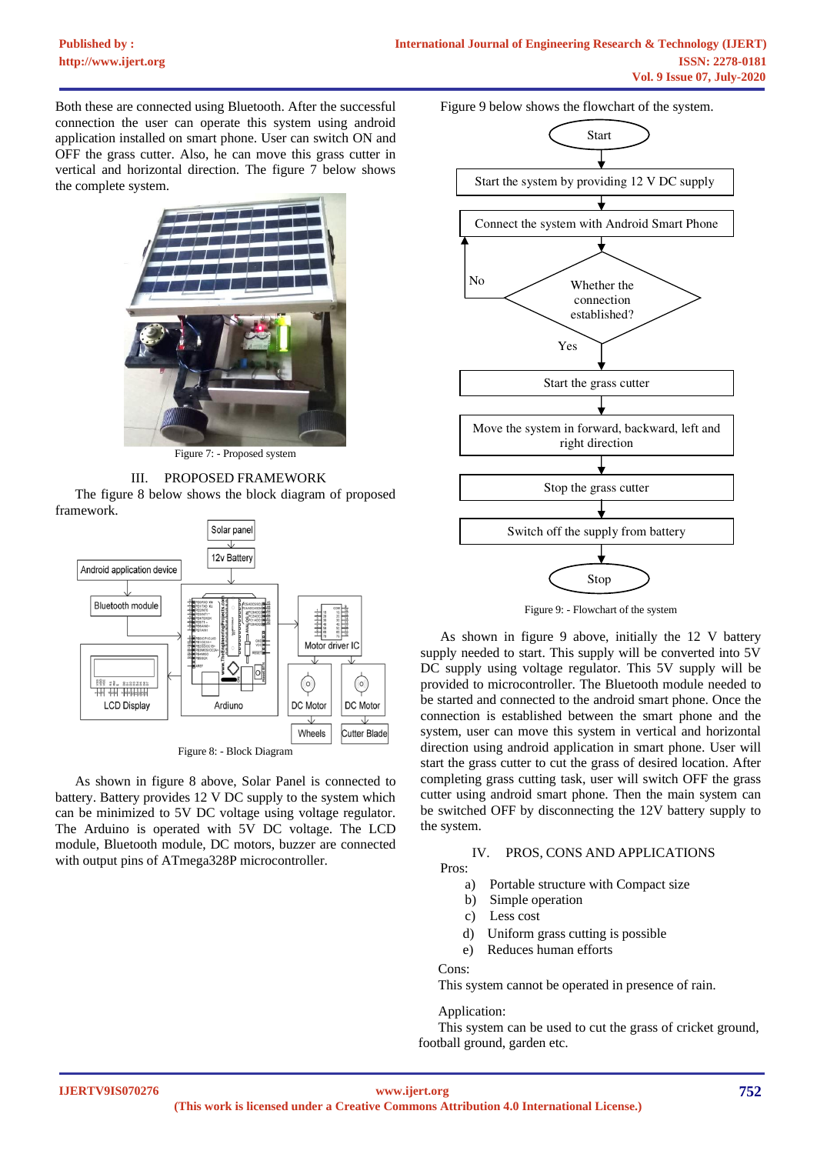Both these are connected using Bluetooth. After the successful connection the user can operate this system using android application installed on smart phone. User can switch ON and OFF the grass cutter. Also, he can move this grass cutter in vertical and horizontal direction. The figure 7 below shows the complete system.



Figure 7: - Proposed system



The figure 8 below shows the block diagram of proposed framework.



Figure 8: - Block Diagram

As shown in figure 8 above, Solar Panel is connected to battery. Battery provides 12 V DC supply to the system which can be minimized to 5V DC voltage using voltage regulator. The Arduino is operated with 5V DC voltage. The LCD module, Bluetooth module, DC motors, buzzer are connected with output pins of ATmega328P microcontroller.

Figure 9 below shows the flowchart of the system.



Figure 9: - Flowchart of the system

As shown in figure 9 above, initially the 12 V battery supply needed to start. This supply will be converted into 5V DC supply using voltage regulator. This 5V supply will be provided to microcontroller. The Bluetooth module needed to be started and connected to the android smart phone. Once the connection is established between the smart phone and the system, user can move this system in vertical and horizontal direction using android application in smart phone. User will start the grass cutter to cut the grass of desired location. After completing grass cutting task, user will switch OFF the grass cutter using android smart phone. Then the main system can be switched OFF by disconnecting the 12V battery supply to the system.

## IV. PROS, CONS AND APPLICATIONS

Pros:

- a) Portable structure with Compact size
- b) Simple operation
- c) Less cost
- d) Uniform grass cutting is possible
- e) Reduces human efforts

## Cons:

This system cannot be operated in presence of rain.

# Application:

This system can be used to cut the grass of cricket ground, football ground, garden etc.